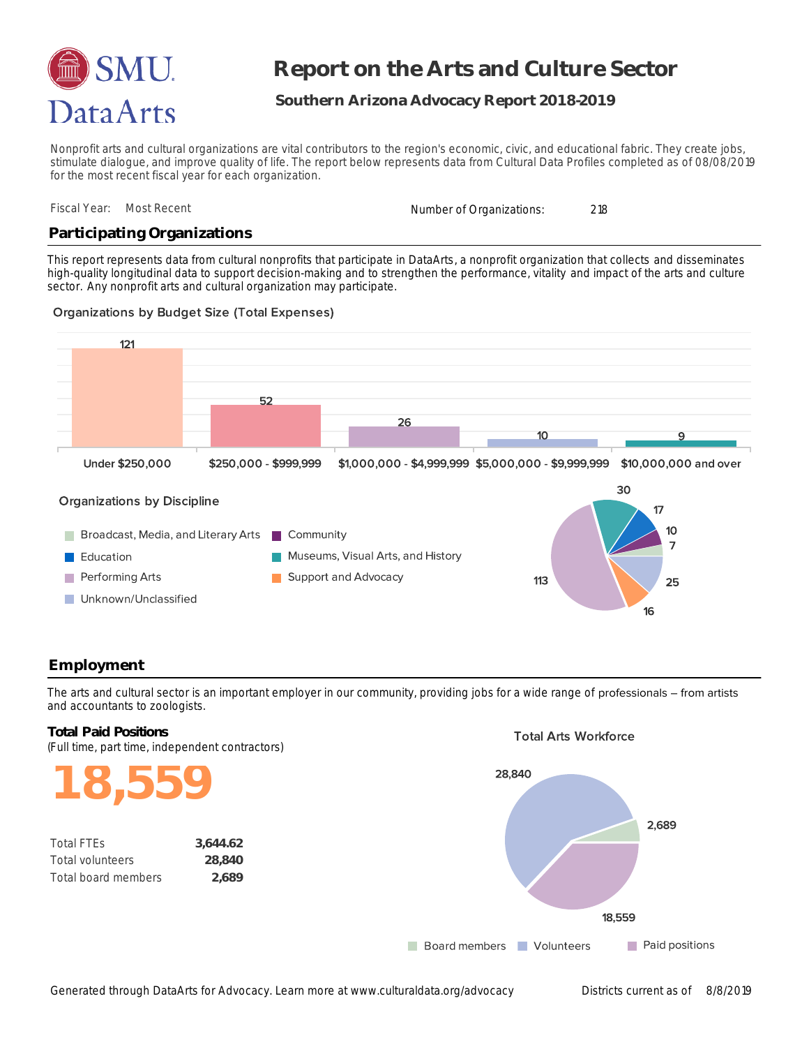

# **Report on the Arts and Culture Sector**

# **Southern Arizona Advocacy Report 2018-2019**

Nonprofit arts and cultural organizations are vital contributors to the region's economic, civic, and educational fabric. They create jobs, stimulate dialogue, and improve quality of life. The report below represents data from Cultural Data Profiles completed as of 08/08/2019 for the most recent fiscal year for each organization.

|  | Fiscal Year: Most Recent | Number of Organizations:<br>. | 218 |  |
|--|--------------------------|-------------------------------|-----|--|
|--|--------------------------|-------------------------------|-----|--|

## **Participating Organizations**

sector. Any nonprofit arts and cultural organization may participate. high-quality longitudinal data to support decision-making and to strengthen the performance, vitality and impact of the arts and culture This report represents data from cultural nonprofits that participate in DataArts, a nonprofit organization that collects and disseminates

#### **Organizations by Budget Size (Total Expenses)**



## **Employment**

and accountants to zoologists. The arts and cultural sector is an important employer in our community, providing jobs for a wide range of professionals – from artists

# (Full time, part time, independent contractors) **Total Paid Positions**

**18,559**

| <b>Total FTES</b>   | 3.644.62 |
|---------------------|----------|
| Total volunteers    | 28,840   |
| Total board members | 2.689    |

#### **Total Arts Workforce**

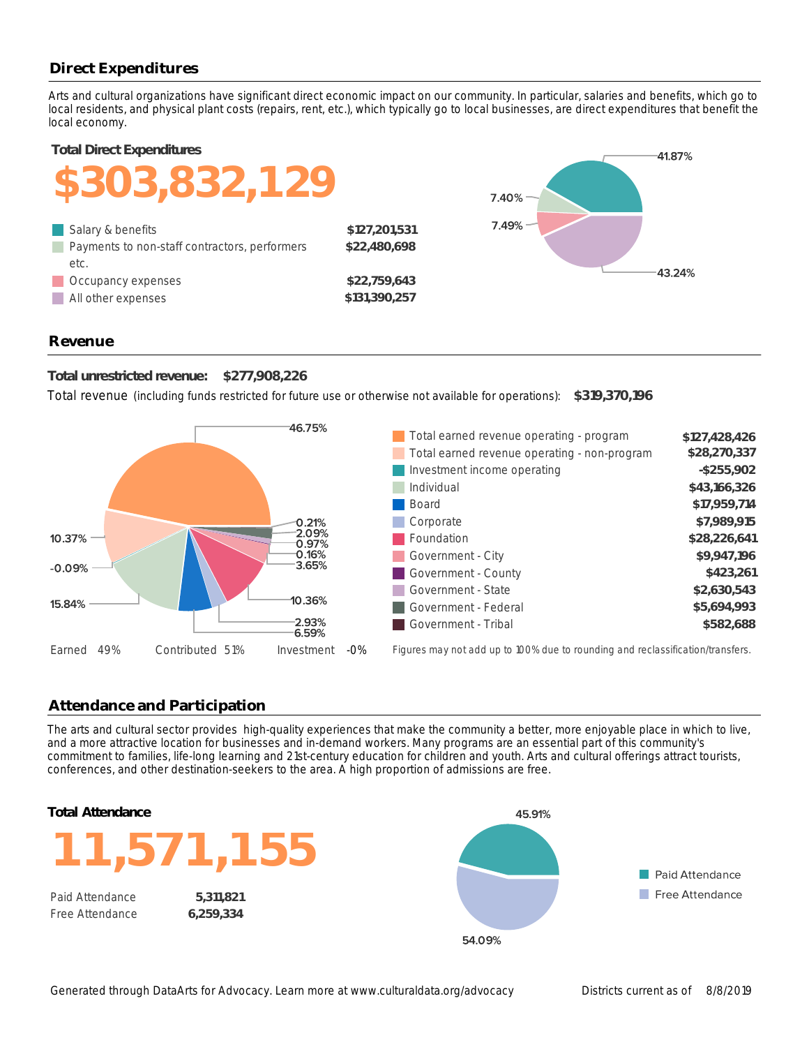# **Direct Expenditures**

local economy. local residents, and physical plant costs (repairs, rent, etc.), which typically go to local businesses, are direct expenditures that benefit the Arts and cultural organizations have significant direct economic impact on our community. In particular, salaries and benefits, which go to

**Total Direct Expenditures**



### **Revenue**

**Total unrestricted revenue: \$277,908,226**

Total revenue (including funds restricted for future use or otherwise not available for operations): **\$319,370,196**



## **Attendance and Participation**

conferences, and other destination-seekers to the area. A high proportion of admissions are free. commitment to families, life-long learning and 21st-century education for children and youth. Arts and cultural offerings attract tourists, and a more attractive location for businesses and in-demand workers. Many programs are an essential part of this community's The arts and cultural sector provides high-quality experiences that make the community a better, more enjoyable place in which to live,